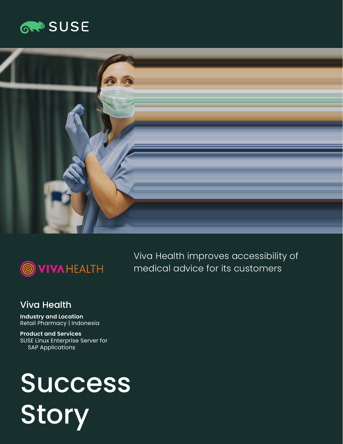





Viva Health improves accessibility of medical advice for its customers

#### Viva Health

**Industry and Location**  Retail Pharmacy | Indonesia

**Product and Services**  SUSE Linux Enterprise Server for SAP Applications

# Success Story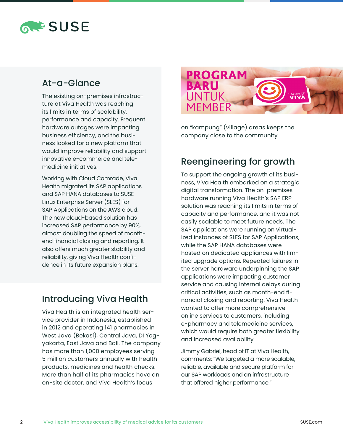# **RAPSUSE**

### At-a-Glance

The existing on-premises infrastructure at Viva Health was reaching its limits in terms of scalability, performance and capacity. Frequent hardware outages were impacting business efficiency, and the business looked for a new platform that would improve reliability and support innovative e-commerce and telemedicine initiatives.

Working with Cloud Comrade, Viva Health migrated its SAP applications and SAP HANA databases to SUSE Linux Enterprise Server (SLES) for SAP Applications on the AWS cloud. The new cloud-based solution has increased SAP performance by 90%, almost doubling the speed of monthend financial closing and reporting. It also offers much greater stability and reliability, giving Viva Health confidence in its future expansion plans.

# Introducing Viva Health

Viva Health is an integrated health service provider in Indonesia, established in 2012 and operating 141 pharmacies in West Java (Bekasi), Central Java, DI Yogyakarta, East Java and Bali. The company has more than 1,000 employees serving 5 million customers annually with health products, medicines and health checks. More than half of its pharmacies have an on-site doctor, and Viva Health's focus



on "kampung" (village) areas keeps the company close to the community.

# Reengineering for growth

To support the ongoing growth of its business, Viva Health embarked on a strategic digital transformation. The on-premises hardware running Viva Health's SAP ERP solution was reaching its limits in terms of capacity and performance, and it was not easily scalable to meet future needs. The SAP applications were running on virtualized instances of SLES for SAP Applications, while the SAP HANA databases were hosted on dedicated appliances with limited upgrade options. Repeated failures in the server hardware underpinning the SAP applications were impacting customer service and causing internal delays during critical activities, such as month-end financial closing and reporting. Viva Health wanted to offer more comprehensive online services to customers, including e-pharmacy and telemedicine services, which would require both greater flexibility and increased availability.

Jimmy Gabriel, head of IT at Viva Health, comments: "We targeted a more scalable, reliable, available and secure platform for our SAP workloads and an infrastructure that offered higher performance."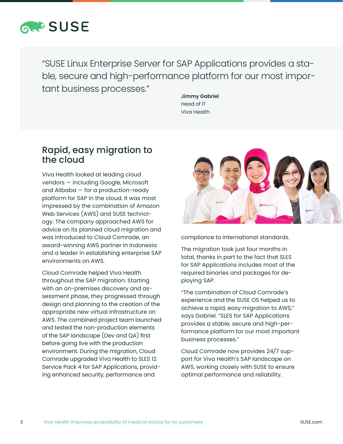

"SUSE Linux Enterprise Server for SAP Applications provides a stable, secure and high-performance platform for our most important business processes."

**Jimmy Gabriel** Head of IT Viva Health

#### Rapid, easy migration to the cloud

Viva Health looked at leading cloud vendors — including Google, Microsoft and Alibaba — for a production-ready platform for SAP in the cloud. It was most impressed by the combination of Amazon Web Services (AWS) and SUSE technology. The company approached AWS for advice on its planned cloud migration and was introduced to Cloud Comrade, an award-winning AWS partner in Indonesia and a leader in establishing enterprise SAP environments on AWS.

Cloud Comrade helped Viva Health throughout the SAP migration. Starting with an on-premises discovery and assessment phase, they progressed through design and planning to the creation of the appropriate new virtual infrastructure on AWS. The combined project team launched and tested the non-production elements of the SAP landscape (Dev and QA) first before going live with the production environment. During the migration, Cloud Comrade upgraded Viva Health to SLES 12 Service Pack 4 for SAP Applications, providing enhanced security, performance and



compliance to international standards.

The migration took just four months in total, thanks in part to the fact that SLES for SAP Applications includes most of the required binaries and packages for deploying SAP.

"The combination of Cloud Comrade's experience and the SUSE OS helped us to achieve a rapid, easy migration to AWS," says Gabriel. "SLES for SAP Applications provides a stable, secure and high-performance platform for our most important business processes."

Cloud Comrade now provides 24/7 support for Viva Health's SAP landscape on AWS, working closely with SUSE to ensure optimal performance and reliability.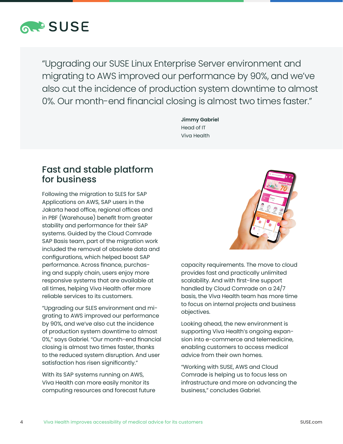

"Upgrading our SUSE Linux Enterprise Server environment and migrating to AWS improved our performance by 90%, and we've also cut the incidence of production system downtime to almost 0%. Our month-end financial closing is almost two times faster."

> **Jimmy Gabriel** Head of IT Viva Health

#### Fast and stable platform for business

Following the migration to SLES for SAP Applications on AWS, SAP users in the Jakarta head office, regional offices and in PBF (Warehouse) benefit from greater stability and performance for their SAP systems. Guided by the Cloud Comrade SAP Basis team, part of the migration work included the removal of obsolete data and configurations, which helped boost SAP performance. Across finance, purchasing and supply chain, users enjoy more responsive systems that are available at all times, helping Viva Health offer more reliable services to its customers.

"Upgrading our SLES environment and migrating to AWS improved our performance by 90%, and we've also cut the incidence of production system downtime to almost 0%," says Gabriel. "Our month-end financial closing is almost two times faster, thanks to the reduced system disruption. And user satisfaction has risen significantly."

With its SAP systems running on AWS, Viva Health can more easily monitor its computing resources and forecast future



capacity requirements. The move to cloud provides fast and practically unlimited scalability. And with first-line support handled by Cloud Comrade on a 24/7 basis, the Viva Health team has more time to focus on internal projects and business objectives.

Looking ahead, the new environment is supporting Viva Health's ongoing expansion into e-commerce and telemedicine, enabling customers to access medical advice from their own homes.

"Working with SUSE, AWS and Cloud Comrade is helping us to focus less on infrastructure and more on advancing the business," concludes Gabriel.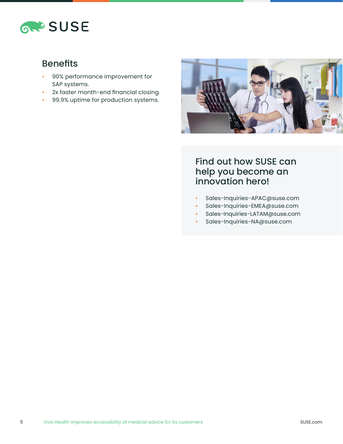

## Benefits

- 90% performance improvement for SAP systems.
- 2x faster month-end financial closing.
- 99.9% uptime for production systems.



### Find out how SUSE can help you become an innovation hero!

- Sales-Inquiries-APAC@suse.com
- Sales-Inquiries-EMEA@suse.com
- Sales-Inquiries-LATAM@suse.com
- Sales-Inquiries-NA@suse.com